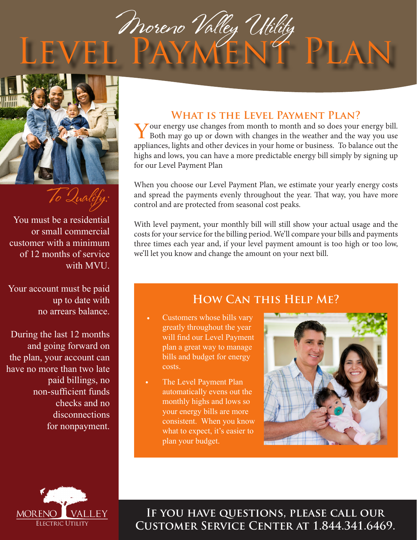



To Qualify:

You must be a residential or small commercial customer with a minimum of 12 months of service with MVU.

Your account must be paid up to date with no arrears balance.

During the last 12 months and going forward on the plan, your account can have no more than two late paid billings, no non-sufficient funds checks and no disconnections for nonpayment.

#### **What is the Level Payment Plan?**

Your energy use changes from month to month and so does your energy bill. Both may go up or down with changes in the weather and the way you use appliances, lights and other devices in your home or business. To balance out the highs and lows, you can have a more predictable energy bill simply by signing up for our Level Payment Plan

When you choose our Level Payment Plan, we estimate your yearly energy costs and spread the payments evenly throughout the year. That way, you have more control and are protected from seasonal cost peaks.

With level payment, your monthly bill will still show your actual usage and the costs for your service for the billing period. We'll compare your bills and payments three times each year and, if your level payment amount is too high or too low, we'll let you know and change the amount on your next bill.

## **How Can this Help Me?**

- Customers whose bills vary greatly throughout the year will find our Level Payment plan a great way to manage bills and budget for energy costs.
- The Level Payment Plan automatically evens out the monthly highs and lows so your energy bills are more consistent. When you know what to expect, it's easier to plan your budget.





**If you have questions, please call our Customer Service Center at 1.844.341.6469.**